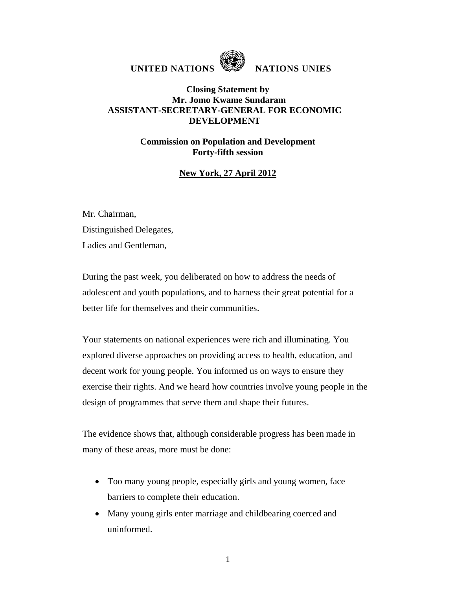

UNITED NATIONS **WE NATIONS** UNIES

## **Closing Statement by Mr. Jomo Kwame Sundaram ASSISTANT-SECRETARY-GENERAL FOR ECONOMIC DEVELOPMENT**

## **Commission on Population and Development Forty-fifth session**

## **New York, 27 April 2012**

Mr. Chairman, Distinguished Delegates, Ladies and Gentleman,

During the past week, you deliberated on how to address the needs of adolescent and youth populations, and to harness their great potential for a better life for themselves and their communities.

Your statements on national experiences were rich and illuminating. You explored diverse approaches on providing access to health, education, and decent work for young people. You informed us on ways to ensure they exercise their rights. And we heard how countries involve young people in the design of programmes that serve them and shape their futures.

The evidence shows that, although considerable progress has been made in many of these areas, more must be done:

- Too many young people, especially girls and young women, face barriers to complete their education.
- Many young girls enter marriage and childbearing coerced and uninformed.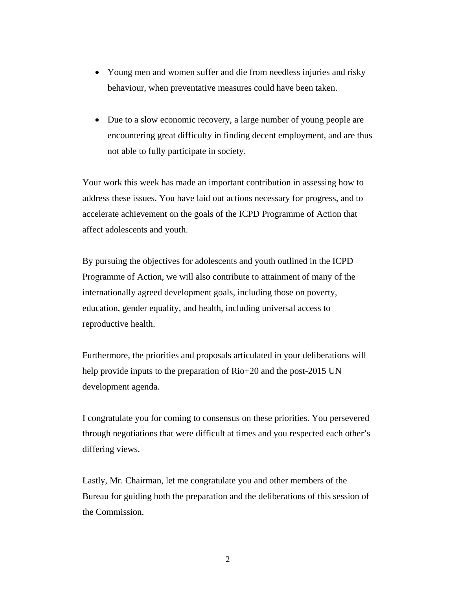- Young men and women suffer and die from needless injuries and risky behaviour, when preventative measures could have been taken.
- Due to a slow economic recovery, a large number of young people are encountering great difficulty in finding decent employment, and are thus not able to fully participate in society.

Your work this week has made an important contribution in assessing how to address these issues. You have laid out actions necessary for progress, and to accelerate achievement on the goals of the ICPD Programme of Action that affect adolescents and youth.

By pursuing the objectives for adolescents and youth outlined in the ICPD Programme of Action, we will also contribute to attainment of many of the internationally agreed development goals, including those on poverty, education, gender equality, and health, including universal access to reproductive health.

Furthermore, the priorities and proposals articulated in your deliberations will help provide inputs to the preparation of Rio+20 and the post-2015 UN development agenda.

I congratulate you for coming to consensus on these priorities. You persevered through negotiations that were difficult at times and you respected each other's differing views.

Lastly, Mr. Chairman, let me congratulate you and other members of the Bureau for guiding both the preparation and the deliberations of this session of the Commission.